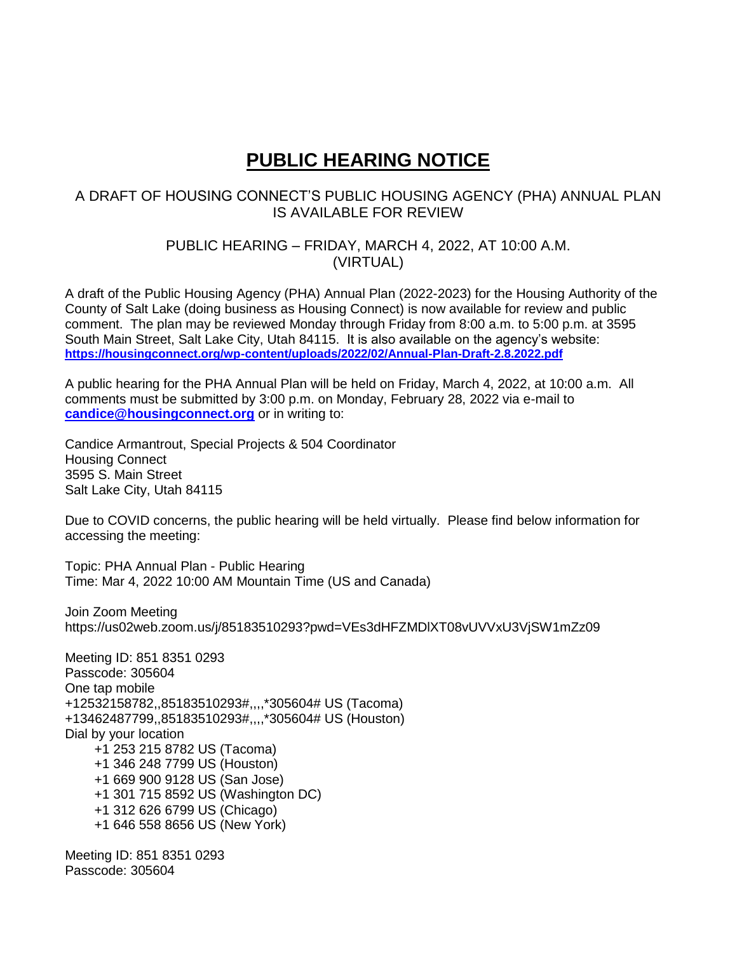## **PUBLIC HEARING NOTICE**

## A DRAFT OF HOUSING CONNECT'S PUBLIC HOUSING AGENCY (PHA) ANNUAL PLAN IS AVAILABLE FOR REVIEW

PUBLIC HEARING – FRIDAY, MARCH 4, 2022, AT 10:00 A.M. (VIRTUAL)

A draft of the Public Housing Agency (PHA) Annual Plan (2022-2023) for the Housing Authority of the County of Salt Lake (doing business as Housing Connect) is now available for review and public comment. The plan may be reviewed Monday through Friday from 8:00 a.m. to 5:00 p.m. at 3595 South Main Street, Salt Lake City, Utah 84115. It is also available on the agency's website: **<https://housingconnect.org/wp-content/uploads/2022/02/Annual-Plan-Draft-2.8.2022.pdf>**

A public hearing for the PHA Annual Plan will be held on Friday, March 4, 2022, at 10:00 a.m. All comments must be submitted by 3:00 p.m. on Monday, February 28, 2022 via e-mail to **[candice@housingconnect.org](mailto:candice@housingconnect.org)** or in writing to:

Candice Armantrout, Special Projects & 504 Coordinator Housing Connect 3595 S. Main Street Salt Lake City, Utah 84115

Due to COVID concerns, the public hearing will be held virtually. Please find below information for accessing the meeting:

Topic: PHA Annual Plan - Public Hearing Time: Mar 4, 2022 10:00 AM Mountain Time (US and Canada)

Join Zoom Meeting https://us02web.zoom.us/j/85183510293?pwd=VEs3dHFZMDlXT08vUVVxU3VjSW1mZz09

Meeting ID: 851 8351 0293 Passcode: 305604 One tap mobile +12532158782,,85183510293#,,,,\*305604# US (Tacoma) +13462487799,,85183510293#,,,,\*305604# US (Houston) Dial by your location +1 253 215 8782 US (Tacoma) +1 346 248 7799 US (Houston) +1 669 900 9128 US (San Jose) +1 301 715 8592 US (Washington DC) +1 312 626 6799 US (Chicago) +1 646 558 8656 US (New York)

Meeting ID: 851 8351 0293 Passcode: 305604